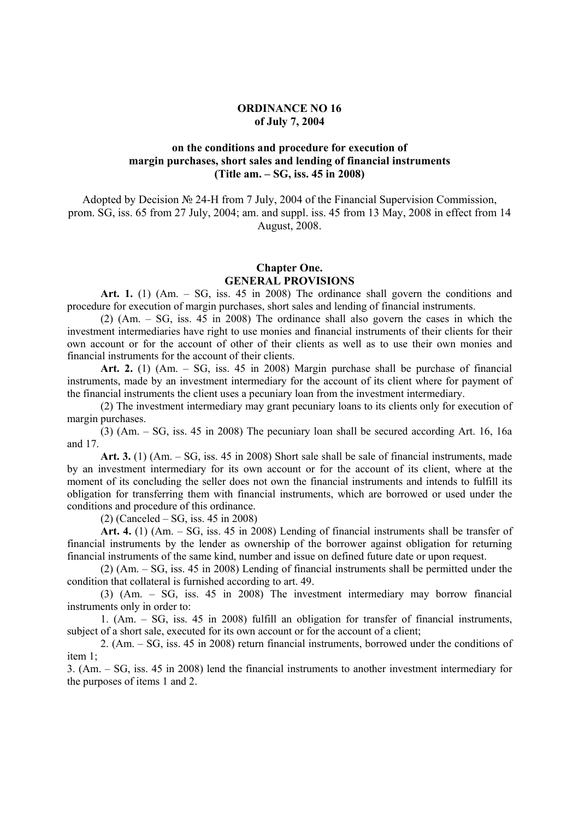### **ORDINANCE NO 16 of July 7, 2004**

## **on the conditions and procedure for execution of margin purchases, short sales and lending of financial instruments (Title am. – SG, iss. 45 in 2008)**

Adopted by Decision № 24-H from 7 July, 2004 of the Financial Supervision Commission, prom. SG, iss. 65 from 27 July, 2004; am. and suppl. iss. 45 from 13 May, 2008 in effect from 14 August, 2008.

### **Chapter One. GENERAL PROVISIONS**

**Art. 1.** (1) (Am. – SG, iss. 45 in 2008) The ordinance shall govern the conditions and procedure for execution of margin purchases, short sales and lending of financial instruments.

(2) (Am. – SG, iss. 45 in 2008) The ordinance shall also govern the cases in which the investment intermediaries have right to use monies and financial instruments of their clients for their own account or for the account of other of their clients as well as to use their own monies and financial instruments for the account of their clients.

**Art. 2.** (1) (Am. – SG, iss. 45 in 2008) Margin purchase shall be purchase of financial instruments, made by an investment intermediary for the account of its client where for payment of the financial instruments the client uses a pecuniary loan from the investment intermediary.

(2) The investment intermediary may grant pecuniary loans to its clients only for execution of margin purchases.

(3) (Am. – SG, iss. 45 in 2008) The pecuniary loan shall be secured according Art. 16, 16a and 17.

**Art. 3.** (1) (Am. – SG, iss. 45 in 2008) Short sale shall be sale of financial instruments, made by an investment intermediary for its own account or for the account of its client, where at the moment of its concluding the seller does not own the financial instruments and intends to fulfill its obligation for transferring them with financial instruments, which are borrowed or used under the conditions and procedure of this ordinance.

(2) (Canceled – SG, iss. 45 in 2008)

**Art. 4.** (1) (Am. – SG, iss. 45 in 2008) Lending of financial instruments shall be transfer of financial instruments by the lender as ownership of the borrower against obligation for returning financial instruments of the same kind, number and issue on defined future date or upon request.

(2) (Am. – SG, iss. 45 in 2008) Lending of financial instruments shall be permitted under the condition that collateral is furnished according to art. 49.

(3) (Am. – SG, iss. 45 in 2008) The investment intermediary may borrow financial instruments only in order to:

1. (Am. – SG, iss. 45 in 2008) fulfill an obligation for transfer of financial instruments, subject of a short sale, executed for its own account or for the account of a client;

2. (Am. – SG, iss. 45 in 2008) return financial instruments, borrowed under the conditions of item 1;

3. (Am. – SG, iss. 45 in 2008) lend the financial instruments to another investment intermediary for the purposes of items 1 and 2.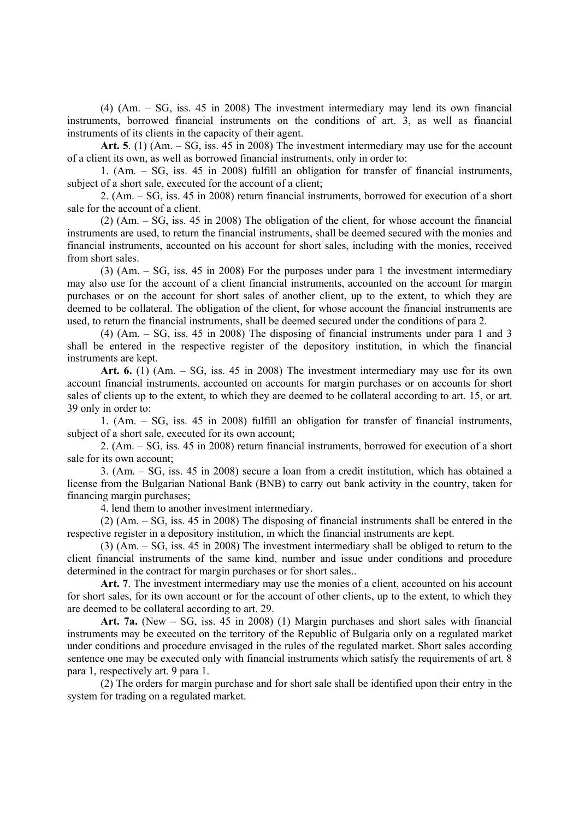(4) (Am. – SG, iss. 45 in 2008) The investment intermediary may lend its own financial instruments, borrowed financial instruments on the conditions of art. 3, as well as financial instruments of its clients in the capacity of their agent.

**Art. 5**. (1) (Am. – SG, iss. 45 in 2008) The investment intermediary may use for the account of a client its own, as well as borrowed financial instruments, only in order to:

1. (Am. – SG, iss. 45 in 2008) fulfill an obligation for transfer of financial instruments, subject of a short sale, executed for the account of a client;

2. (Am. – SG, iss. 45 in 2008) return financial instruments, borrowed for execution of a short sale for the account of a client.

(2) (Am. – SG, iss. 45 in 2008) The obligation of the client, for whose account the financial instruments are used, to return the financial instruments, shall be deemed secured with the monies and financial instruments, accounted on his account for short sales, including with the monies, received from short sales.

(3) (Am. – SG, iss. 45 in 2008) For the purposes under para 1 the investment intermediary may also use for the account of a client financial instruments, accounted on the account for margin purchases or on the account for short sales of another client, up to the extent, to which they are deemed to be collateral. The obligation of the client, for whose account the financial instruments are used, to return the financial instruments, shall be deemed secured under the conditions of para 2.

(4) (Am. – SG, iss. 45 in 2008) The disposing of financial instruments under para 1 and 3 shall be entered in the respective register of the depository institution, in which the financial instruments are kept.

**Art. 6.** (1) (Am. – SG, iss. 45 in 2008) The investment intermediary may use for its own account financial instruments, accounted on accounts for margin purchases or on accounts for short sales of clients up to the extent, to which they are deemed to be collateral according to art. 15, or art. 39 only in order to:

1. (Am. – SG, iss. 45 in 2008) fulfill an obligation for transfer of financial instruments, subject of a short sale, executed for its own account;

2. (Am. – SG, iss. 45 in 2008) return financial instruments, borrowed for execution of a short sale for its own account;

3. (Am. – SG, iss. 45 in 2008) secure a loan from a credit institution, which has obtained a license from the Bulgarian National Bank (BNB) to carry out bank activity in the country, taken for financing margin purchases;

4. lend them to another investment intermediary.

(2) (Am. – SG, iss. 45 in 2008) The disposing of financial instruments shall be entered in the respective register in a depository institution, in which the financial instruments are kept.

(3) (Am. – SG, iss. 45 in 2008) The investment intermediary shall be obliged to return to the client financial instruments of the same kind, number and issue under conditions and procedure determined in the contract for margin purchases or for short sales..

Art. 7. The investment intermediary may use the monies of a client, accounted on his account for short sales, for its own account or for the account of other clients, up to the extent, to which they are deemed to be collateral according to art. 29.

**Art. 7a.** (New – SG, iss. 45 in 2008) (1) Margin purchases and short sales with financial instruments may be executed on the territory of the Republic of Bulgaria only on a regulated market under conditions and procedure envisaged in the rules of the regulated market. Short sales according sentence one may be executed only with financial instruments which satisfy the requirements of art. 8 para 1, respectively art. 9 para 1.

(2) The orders for margin purchase and for short sale shall be identified upon their entry in the system for trading on a regulated market.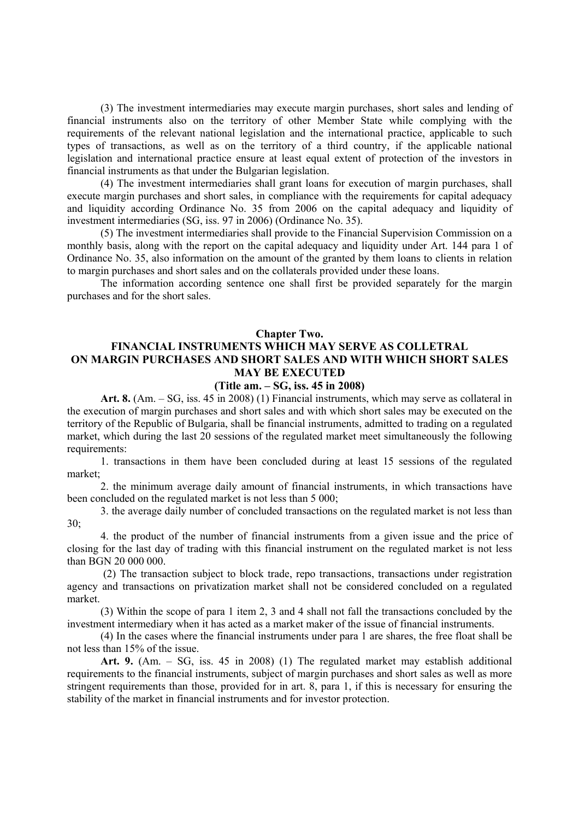(3) The investment intermediaries may execute margin purchases, short sales and lending of financial instruments also on the territory of other Member State while complying with the requirements of the relevant national legislation and the international practice, applicable to such types of transactions, as well as on the territory of a third country, if the applicable national legislation and international practice ensure at least equal extent of protection of the investors in financial instruments as that under the Bulgarian legislation.

(4) The investment intermediaries shall grant loans for execution of margin purchases, shall execute margin purchases and short sales, in compliance with the requirements for capital adequacy and liquidity according Ordinance No. 35 from 2006 on the capital adequacy and liquidity of investment intermediaries (SG, iss. 97 in 2006) (Ordinance No. 35).

(5) The investment intermediaries shall provide to the Financial Supervision Commission on a monthly basis, along with the report on the capital adequacy and liquidity under Art. 144 para 1 of Ordinance No. 35, also information on the amount of the granted by them loans to clients in relation to margin purchases and short sales and on the collaterals provided under these loans.

The information according sentence one shall first be provided separately for the margin purchases and for the short sales.

#### **Chapter Two.**

# **FINANCIAL INSTRUMENTS WHICH MAY SERVE AS COLLETRAL ON MARGIN PURCHASES AND SHORT SALES AND WITH WHICH SHORT SALES MAY BE EXECUTED**

### **(Title am. – SG, iss. 45 in 2008)**

**Art. 8.** (Am. – SG, iss. 45 in 2008) (1) Financial instruments, which may serve as collateral in the execution of margin purchases and short sales and with which short sales may be executed on the territory of the Republic of Bulgaria, shall be financial instruments, admitted to trading on a regulated market, which during the last 20 sessions of the regulated market meet simultaneously the following requirements:

1. transactions in them have been concluded during at least 15 sessions of the regulated market;

2. the minimum average daily amount of financial instruments, in which transactions have been concluded on the regulated market is not less than 5 000;

3. the average daily number of concluded transactions on the regulated market is not less than 30;

4. the product of the number of financial instruments from a given issue and the price of closing for the last day of trading with this financial instrument on the regulated market is not less than BGN 20 000 000.

 (2) The transaction subject to block trade, repo transactions, transactions under registration agency and transactions on privatization market shall not be considered concluded on a regulated market.

(3) Within the scope of para 1 item 2, 3 and 4 shall not fall the transactions concluded by the investment intermediary when it has acted as a market maker of the issue of financial instruments.

(4) In the cases where the financial instruments under para 1 are shares, the free float shall be not less than 15% of the issue.

**Art. 9.** (Am. – SG, iss. 45 in 2008) (1) The regulated market may establish additional requirements to the financial instruments, subject of margin purchases and short sales as well as more stringent requirements than those, provided for in art. 8, para 1, if this is necessary for ensuring the stability of the market in financial instruments and for investor protection.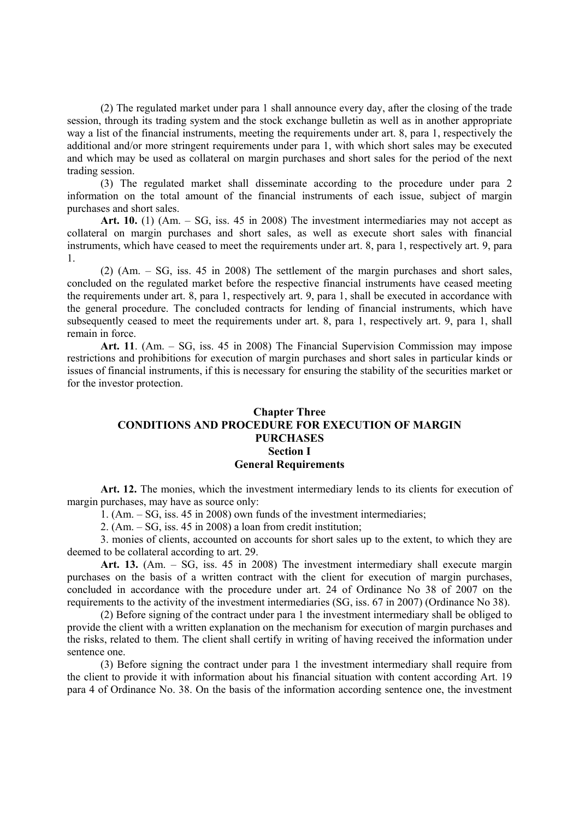(2) The regulated market under para 1 shall announce every day, after the closing of the trade session, through its trading system and the stock exchange bulletin as well as in another appropriate way a list of the financial instruments, meeting the requirements under art. 8, para 1, respectively the additional and/or more stringent requirements under para 1, with which short sales may be executed and which may be used as collateral on margin purchases and short sales for the period of the next trading session.

(3) The regulated market shall disseminate according to the procedure under para 2 information on the total amount of the financial instruments of each issue, subject of margin purchases and short sales.

**Art. 10.** (1) (Am. – SG, iss. 45 in 2008) The investment intermediaries may not accept as collateral on margin purchases and short sales, as well as execute short sales with financial instruments, which have ceased to meet the requirements under art. 8, para 1, respectively art. 9, para 1.

(2) (Am. – SG, iss. 45 in 2008) The settlement of the margin purchases and short sales, concluded on the regulated market before the respective financial instruments have ceased meeting the requirements under art. 8, para 1, respectively art. 9, para 1, shall be executed in accordance with the general procedure. The concluded contracts for lending of financial instruments, which have subsequently ceased to meet the requirements under art. 8, para 1, respectively art. 9, para 1, shall remain in force.

**Art. 11**. (Am. – SG, iss. 45 in 2008) The Financial Supervision Commission may impose restrictions and prohibitions for execution of margin purchases and short sales in particular kinds or issues of financial instruments, if this is necessary for ensuring the stability of the securities market or for the investor protection.

## **Chapter Three CONDITIONS AND PROCEDURE FOR EXECUTION OF MARGIN PURCHASES Section I General Requirements**

Art. 12. The monies, which the investment intermediary lends to its clients for execution of margin purchases, may have as source only:

1. (Am. – SG, iss. 45 in 2008) own funds of the investment intermediaries;

2. (Am. – SG, iss. 45 in 2008) a loan from credit institution;

3. monies of clients, accounted on accounts for short sales up to the extent, to which they are deemed to be collateral according to art. 29.

**Art. 13.** (Am. – SG, iss. 45 in 2008) The investment intermediary shall execute margin purchases on the basis of a written contract with the client for execution of margin purchases, concluded in accordance with the procedure under art. 24 of Ordinance No 38 of 2007 on the requirements to the activity of the investment intermediaries (SG, iss. 67 in 2007) (Ordinance No 38).

(2) Before signing of the contract under para 1 the investment intermediary shall be obliged to provide the client with a written explanation on the mechanism for execution of margin purchases and the risks, related to them. The client shall certify in writing of having received the information under sentence one.

(3) Before signing the contract under para 1 the investment intermediary shall require from the client to provide it with information about his financial situation with content according Art. 19 para 4 of Ordinance No. 38. On the basis of the information according sentence one, the investment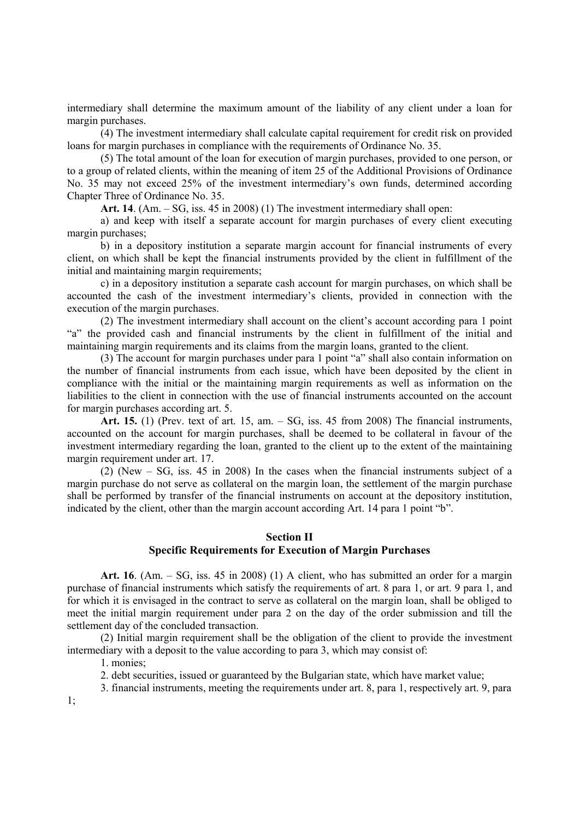intermediary shall determine the maximum amount of the liability of any client under a loan for margin purchases.

(4) The investment intermediary shall calculate capital requirement for credit risk on provided loans for margin purchases in compliance with the requirements of Ordinance No. 35.

(5) The total amount of the loan for execution of margin purchases, provided to one person, or to a group of related clients, within the meaning of item 25 of the Additional Provisions of Ordinance No. 35 may not exceed 25% of the investment intermediary's own funds, determined according Chapter Three of Ordinance No. 35.

**Art. 14**. (Am. – SG, iss. 45 in 2008) (1) The investment intermediary shall open:

a) and keep with itself a separate account for margin purchases of every client executing margin purchases;

b) in a depository institution a separate margin account for financial instruments of every client, on which shall be kept the financial instruments provided by the client in fulfillment of the initial and maintaining margin requirements;

c) in a depository institution a separate cash account for margin purchases, on which shall be accounted the cash of the investment intermediary's clients, provided in connection with the execution of the margin purchases.

(2) The investment intermediary shall account on the client's account according para 1 point "a" the provided cash and financial instruments by the client in fulfillment of the initial and maintaining margin requirements and its claims from the margin loans, granted to the client.

(3) The account for margin purchases under para 1 point "a" shall also contain information on the number of financial instruments from each issue, which have been deposited by the client in compliance with the initial or the maintaining margin requirements as well as information on the liabilities to the client in connection with the use of financial instruments accounted on the account for margin purchases according art. 5.

**Art. 15.** (1) (Prev. text of art. 15, am. – SG, iss. 45 from 2008) The financial instruments, accounted on the account for margin purchases, shall be deemed to be collateral in favour of the investment intermediary regarding the loan, granted to the client up to the extent of the maintaining margin requirement under art. 17.

(2) (New – SG, iss. 45 in 2008) In the cases when the financial instruments subject of a margin purchase do not serve as collateral on the margin loan, the settlement of the margin purchase shall be performed by transfer of the financial instruments on account at the depository institution, indicated by the client, other than the margin account according Art. 14 para 1 point "b".

## **Section II**

### **Specific Requirements for Execution of Margin Purchases**

**Art. 16**. (Am. – SG, iss. 45 in 2008) (1) A client, who has submitted an order for a margin purchase of financial instruments which satisfy the requirements of art. 8 para 1, or art. 9 para 1, and for which it is envisaged in the contract to serve as collateral on the margin loan, shall be obliged to meet the initial margin requirement under para 2 on the day of the order submission and till the settlement day of the concluded transaction.

(2) Initial margin requirement shall be the obligation of the client to provide the investment intermediary with a deposit to the value according to para 3, which may consist of:

1. monies;

2. debt securities, issued or guaranteed by the Bulgarian state, which have market value;

3. financial instruments, meeting the requirements under art. 8, para 1, respectively art. 9, para

1;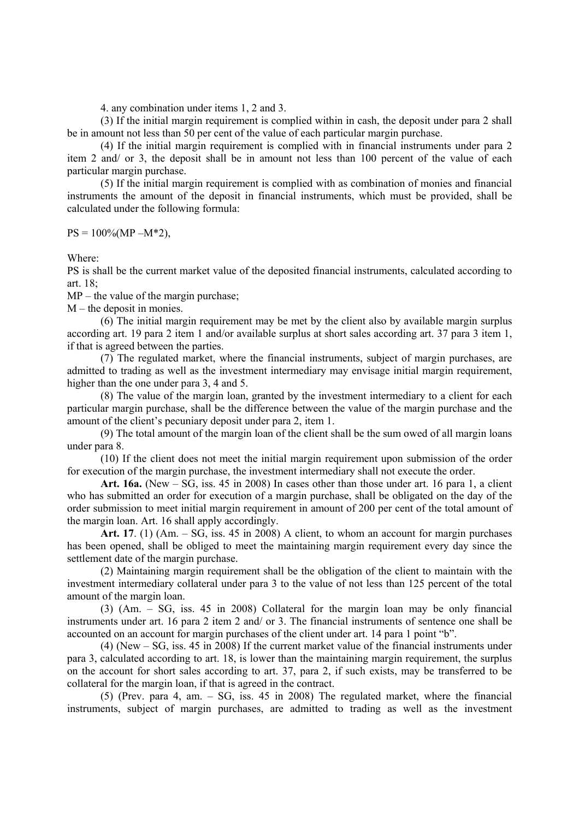4. any combination under items 1, 2 and 3.

(3) If the initial margin requirement is complied within in cash, the deposit under para 2 shall be in amount not less than 50 per cent of the value of each particular margin purchase.

(4) If the initial margin requirement is complied with in financial instruments under para 2 item 2 and/ or 3, the deposit shall be in amount not less than 100 percent of the value of each particular margin purchase.

(5) If the initial margin requirement is complied with as combination of monies and financial instruments the amount of the deposit in financial instruments, which must be provided, shall be calculated under the following formula:

 $PS = 100\% (MP - M^*2),$ 

Where:

PS is shall be the current market value of the deposited financial instruments, calculated according to art.  $18$ 

MP – the value of the margin purchase;

M – the deposit in monies.

 (6) The initial margin requirement may be met by the client also by available margin surplus according art. 19 para 2 item 1 and/or available surplus at short sales according art. 37 para 3 item 1, if that is agreed between the parties.

(7) The regulated market, where the financial instruments, subject of margin purchases, are admitted to trading as well as the investment intermediary may envisage initial margin requirement, higher than the one under para 3, 4 and 5.

(8) The value of the margin loan, granted by the investment intermediary to a client for each particular margin purchase, shall be the difference between the value of the margin purchase and the amount of the client's pecuniary deposit under para 2, item 1.

(9) The total amount of the margin loan of the client shall be the sum owed of all margin loans under para 8.

(10) If the client does not meet the initial margin requirement upon submission of the order for execution of the margin purchase, the investment intermediary shall not execute the order.

**Art. 16a.** (New – SG, iss. 45 in 2008) In cases other than those under art. 16 para 1, a client who has submitted an order for execution of a margin purchase, shall be obligated on the day of the order submission to meet initial margin requirement in amount of 200 per cent of the total amount of the margin loan. Art. 16 shall apply accordingly.

Art. 17. (1)  $(Am. - SG, \text{iss. } 45 \text{ in } 2008)$  A client, to whom an account for margin purchases has been opened, shall be obliged to meet the maintaining margin requirement every day since the settlement date of the margin purchase.

(2) Maintaining margin requirement shall be the obligation of the client to maintain with the investment intermediary collateral under para 3 to the value of not less than 125 percent of the total amount of the margin loan.

(3) (Am. – SG, iss. 45 in 2008) Collateral for the margin loan may be only financial instruments under art. 16 para 2 item 2 and/ or 3. The financial instruments of sentence one shall be accounted on an account for margin purchases of the client under art. 14 para 1 point "b".

(4) (New – SG, iss. 45 in 2008) If the current market value of the financial instruments under para 3, calculated according to art. 18, is lower than the maintaining margin requirement, the surplus on the account for short sales according to art. 37, para 2, if such exists, may be transferred to be collateral for the margin loan, if that is agreed in the contract.

(5) (Prev. para 4, am. – SG, iss. 45 in 2008) The regulated market, where the financial instruments, subject of margin purchases, are admitted to trading as well as the investment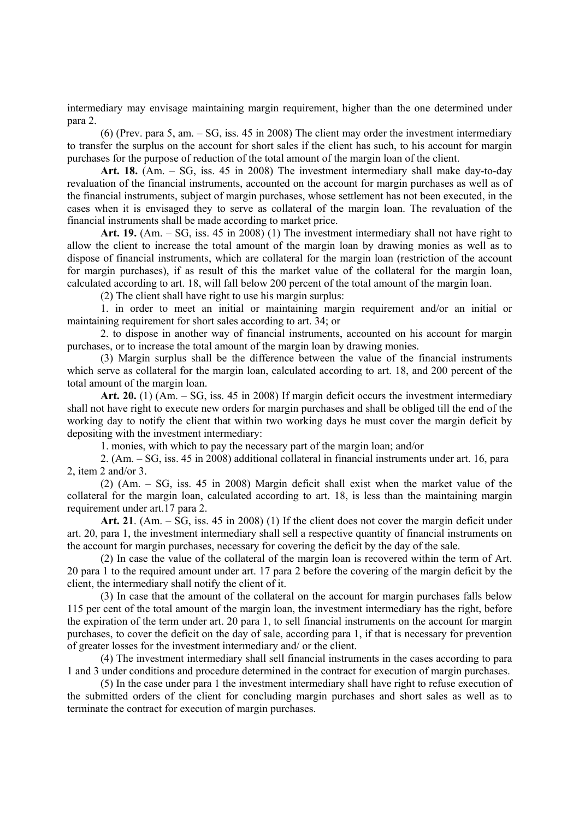intermediary may envisage maintaining margin requirement, higher than the one determined under para 2.

(6) (Prev. para 5, am. – SG, iss. 45 in 2008) The client may order the investment intermediary to transfer the surplus on the account for short sales if the client has such, to his account for margin purchases for the purpose of reduction of the total amount of the margin loan of the client.

**Art. 18.** (Am. – SG, iss. 45 in 2008) The investment intermediary shall make day-to-day revaluation of the financial instruments, accounted on the account for margin purchases as well as of the financial instruments, subject of margin purchases, whose settlement has not been executed, in the cases when it is envisaged they to serve as collateral of the margin loan. The revaluation of the financial instruments shall be made according to market price.

**Art. 19.** (Am. – SG, iss. 45 in 2008) (1) The investment intermediary shall not have right to allow the client to increase the total amount of the margin loan by drawing monies as well as to dispose of financial instruments, which are collateral for the margin loan (restriction of the account for margin purchases), if as result of this the market value of the collateral for the margin loan, calculated according to art. 18, will fall below 200 percent of the total amount of the margin loan.

(2) The client shall have right to use his margin surplus:

1. in order to meet an initial or maintaining margin requirement and/or an initial or maintaining requirement for short sales according to art. 34; or

2. to dispose in another way of financial instruments, accounted on his account for margin purchases, or to increase the total amount of the margin loan by drawing monies.

(3) Margin surplus shall be the difference between the value of the financial instruments which serve as collateral for the margin loan, calculated according to art. 18, and 200 percent of the total amount of the margin loan.

**Art. 20.** (1) (Am. – SG, iss. 45 in 2008) If margin deficit occurs the investment intermediary shall not have right to execute new orders for margin purchases and shall be obliged till the end of the working day to notify the client that within two working days he must cover the margin deficit by depositing with the investment intermediary:

1. monies, with which to pay the necessary part of the margin loan; and/or

2. (Am. – SG, iss. 45 in 2008) additional collateral in financial instruments under art. 16, para 2, item 2 and/or 3.

(2) (Am. – SG, iss. 45 in 2008) Margin deficit shall exist when the market value of the collateral for the margin loan, calculated according to art. 18, is less than the maintaining margin requirement under art.17 para 2.

**Art. 21**. (Am. – SG, iss. 45 in 2008) (1) If the client does not cover the margin deficit under art. 20, para 1, the investment intermediary shall sell a respective quantity of financial instruments on the account for margin purchases, necessary for covering the deficit by the day of the sale.

(2) In case the value of the collateral of the margin loan is recovered within the term of Art. 20 para 1 to the required amount under art. 17 para 2 before the covering of the margin deficit by the client, the intermediary shall notify the client of it.

(3) In case that the amount of the collateral on the account for margin purchases falls below 115 per cent of the total amount of the margin loan, the investment intermediary has the right, before the expiration of the term under art. 20 para 1, to sell financial instruments on the account for margin purchases, to cover the deficit on the day of sale, according para 1, if that is necessary for prevention of greater losses for the investment intermediary and/ or the client.

(4) The investment intermediary shall sell financial instruments in the cases according to para 1 and 3 under conditions and procedure determined in the contract for execution of margin purchases.

(5) In the case under para 1 the investment intermediary shall have right to refuse execution of the submitted orders of the client for concluding margin purchases and short sales as well as to terminate the contract for execution of margin purchases.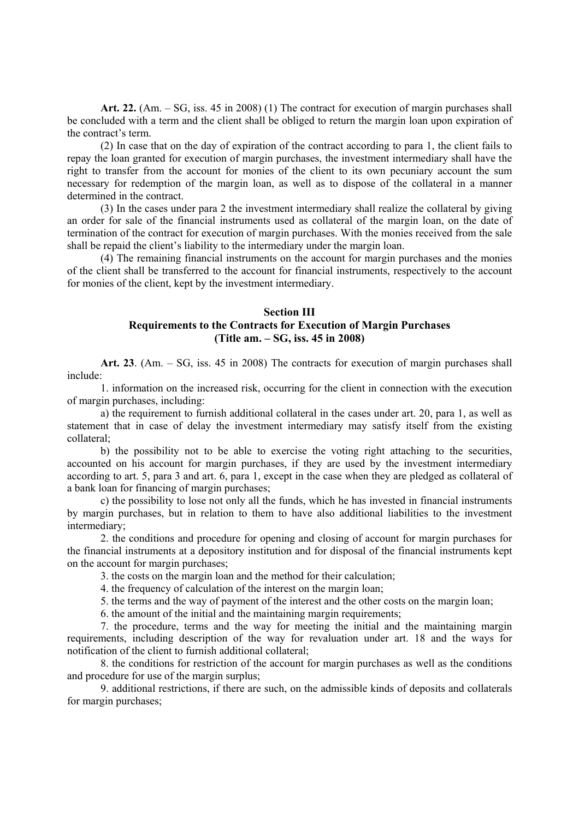**Art. 22.** (Am. – SG, iss. 45 in 2008) (1) The contract for execution of margin purchases shall be concluded with a term and the client shall be obliged to return the margin loan upon expiration of the contract's term.

(2) In case that on the day of expiration of the contract according to para 1, the client fails to repay the loan granted for execution of margin purchases, the investment intermediary shall have the right to transfer from the account for monies of the client to its own pecuniary account the sum necessary for redemption of the margin loan, as well as to dispose of the collateral in a manner determined in the contract.

(3) In the cases under para 2 the investment intermediary shall realize the collateral by giving an order for sale of the financial instruments used as collateral of the margin loan, on the date of termination of the contract for execution of margin purchases. With the monies received from the sale shall be repaid the client's liability to the intermediary under the margin loan.

(4) The remaining financial instruments on the account for margin purchases and the monies of the client shall be transferred to the account for financial instruments, respectively to the account for monies of the client, kept by the investment intermediary.

#### **Section III**

## **Requirements to the Contracts for Execution of Margin Purchases (Title am. – SG, iss. 45 in 2008)**

**Art. 23**. (Am. – SG, iss. 45 in 2008) The contracts for execution of margin purchases shall include:

1. information on the increased risk, occurring for the client in connection with the execution of margin purchases, including:

a) the requirement to furnish additional collateral in the cases under art. 20, para 1, as well as statement that in case of delay the investment intermediary may satisfy itself from the existing collateral;

b) the possibility not to be able to exercise the voting right attaching to the securities, accounted on his account for margin purchases, if they are used by the investment intermediary according to art. 5, para 3 and art. 6, para 1, except in the case when they are pledged as collateral of a bank loan for financing of margin purchases;

c) the possibility to lose not only all the funds, which he has invested in financial instruments by margin purchases, but in relation to them to have also additional liabilities to the investment intermediary;

2. the conditions and procedure for opening and closing of account for margin purchases for the financial instruments at a depository institution and for disposal of the financial instruments kept on the account for margin purchases;

3. the costs on the margin loan and the method for their calculation;

4. the frequency of calculation of the interest on the margin loan;

5. the terms and the way of payment of the interest and the other costs on the margin loan;

6. the amount of the initial and the maintaining margin requirements;

7. the procedure, terms and the way for meeting the initial and the maintaining margin requirements, including description of the way for revaluation under art. 18 and the ways for notification of the client to furnish additional collateral;

8. the conditions for restriction of the account for margin purchases as well as the conditions and procedure for use of the margin surplus;

9. additional restrictions, if there are such, on the admissible kinds of deposits and collaterals for margin purchases;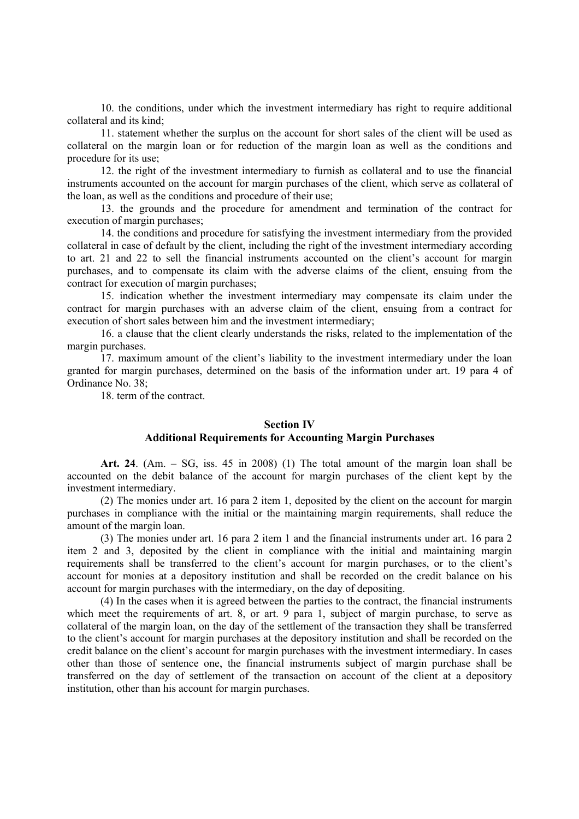10. the conditions, under which the investment intermediary has right to require additional collateral and its kind;

11. statement whether the surplus on the account for short sales of the client will be used as collateral on the margin loan or for reduction of the margin loan as well as the conditions and procedure for its use;

12. the right of the investment intermediary to furnish as collateral and to use the financial instruments accounted on the account for margin purchases of the client, which serve as collateral of the loan, as well as the conditions and procedure of their use;

13. the grounds and the procedure for amendment and termination of the contract for execution of margin purchases;

14. the conditions and procedure for satisfying the investment intermediary from the provided collateral in case of default by the client, including the right of the investment intermediary according to art. 21 and 22 to sell the financial instruments accounted on the client's account for margin purchases, and to compensate its claim with the adverse claims of the client, ensuing from the contract for execution of margin purchases;

15. indication whether the investment intermediary may compensate its claim under the contract for margin purchases with an adverse claim of the client, ensuing from a contract for execution of short sales between him and the investment intermediary;

16. a clause that the client clearly understands the risks, related to the implementation of the margin purchases.

17. maximum amount of the client's liability to the investment intermediary under the loan granted for margin purchases, determined on the basis of the information under art. 19 para 4 of Ordinance No. 38;

18. term of the contract.

## **Section IV Additional Requirements for Accounting Margin Purchases**

**Art. 24**. (Am. – SG, iss. 45 in 2008) (1) The total amount of the margin loan shall be accounted on the debit balance of the account for margin purchases of the client kept by the investment intermediary.

(2) The monies under art. 16 para 2 item 1, deposited by the client on the account for margin purchases in compliance with the initial or the maintaining margin requirements, shall reduce the amount of the margin loan.

(3) The monies under art. 16 para 2 item 1 and the financial instruments under art. 16 para 2 item 2 and 3, deposited by the client in compliance with the initial and maintaining margin requirements shall be transferred to the client's account for margin purchases, or to the client's account for monies at a depository institution and shall be recorded on the credit balance on his account for margin purchases with the intermediary, on the day of depositing.

(4) In the cases when it is agreed between the parties to the contract, the financial instruments which meet the requirements of art. 8, or art. 9 para 1, subject of margin purchase, to serve as collateral of the margin loan, on the day of the settlement of the transaction they shall be transferred to the client's account for margin purchases at the depository institution and shall be recorded on the credit balance on the client's account for margin purchases with the investment intermediary. In cases other than those of sentence one, the financial instruments subject of margin purchase shall be transferred on the day of settlement of the transaction on account of the client at a depository institution, other than his account for margin purchases.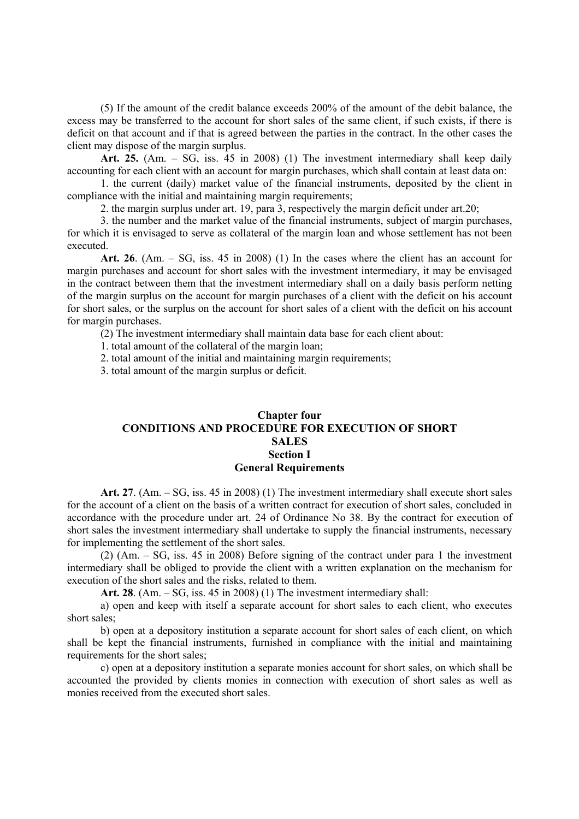(5) If the amount of the credit balance exceeds 200% of the amount of the debit balance, the excess may be transferred to the account for short sales of the same client, if such exists, if there is deficit on that account and if that is agreed between the parties in the contract. In the other cases the client may dispose of the margin surplus.

Art. 25. (Am. – SG, iss. 45 in 2008) (1) The investment intermediary shall keep daily accounting for each client with an account for margin purchases, which shall contain at least data on:

1. the current (daily) market value of the financial instruments, deposited by the client in compliance with the initial and maintaining margin requirements;

2. the margin surplus under art. 19, para 3, respectively the margin deficit under art.20;

3. the number and the market value of the financial instruments, subject of margin purchases, for which it is envisaged to serve as collateral of the margin loan and whose settlement has not been executed.

**Art. 26**. (Am. – SG, iss. 45 in 2008) (1) In the cases where the client has an account for margin purchases and account for short sales with the investment intermediary, it may be envisaged in the contract between them that the investment intermediary shall on a daily basis perform netting of the margin surplus on the account for margin purchases of a client with the deficit on his account for short sales, or the surplus on the account for short sales of a client with the deficit on his account for margin purchases.

(2) The investment intermediary shall maintain data base for each client about:

1. total amount of the collateral of the margin loan;

2. total amount of the initial and maintaining margin requirements;

3. total amount of the margin surplus or deficit.

## **Chapter four CONDITIONS AND PROCEDURE FOR EXECUTION OF SHORT SALES Section I General Requirements**

**Art. 27**. (Am. – SG, iss. 45 in 2008) (1) The investment intermediary shall execute short sales for the account of a client on the basis of a written contract for execution of short sales, concluded in accordance with the procedure under art. 24 of Ordinance No 38. By the contract for execution of short sales the investment intermediary shall undertake to supply the financial instruments, necessary for implementing the settlement of the short sales.

(2) (Am. – SG, iss. 45 in 2008) Before signing of the contract under para 1 the investment intermediary shall be obliged to provide the client with a written explanation on the mechanism for execution of the short sales and the risks, related to them.

**Art. 28**. (Am. – SG, iss. 45 in 2008) (1) The investment intermediary shall:

a) open and keep with itself a separate account for short sales to each client, who executes short sales;

b) open at a depository institution a separate account for short sales of each client, on which shall be kept the financial instruments, furnished in compliance with the initial and maintaining requirements for the short sales;

c) open at a depository institution a separate monies account for short sales, on which shall be accounted the provided by clients monies in connection with execution of short sales as well as monies received from the executed short sales.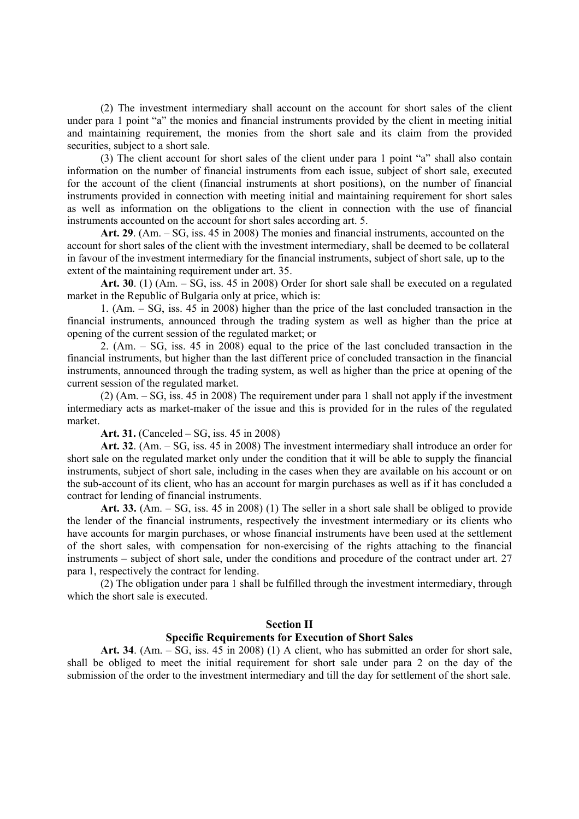(2) The investment intermediary shall account on the account for short sales of the client under para 1 point "a" the monies and financial instruments provided by the client in meeting initial and maintaining requirement, the monies from the short sale and its claim from the provided securities, subject to a short sale.

(3) The client account for short sales of the client under para 1 point "a" shall also contain information on the number of financial instruments from each issue, subject of short sale, executed for the account of the client (financial instruments at short positions), on the number of financial instruments provided in connection with meeting initial and maintaining requirement for short sales as well as information on the obligations to the client in connection with the use of financial instruments accounted on the account for short sales according art. 5.

**Art. 29**. (Am. – SG, iss. 45 in 2008) The monies and financial instruments, accounted on the account for short sales of the client with the investment intermediary, shall be deemed to be collateral in favour of the investment intermediary for the financial instruments, subject of short sale, up to the extent of the maintaining requirement under art. 35.

**Art. 30**. (1) (Am. – SG, iss. 45 in 2008) Order for short sale shall be executed on a regulated market in the Republic of Bulgaria only at price, which is:

1. (Am. – SG, iss. 45 in 2008) higher than the price of the last concluded transaction in the financial instruments, announced through the trading system as well as higher than the price at opening of the current session of the regulated market; or

2. (Am. – SG, iss. 45 in 2008) equal to the price of the last concluded transaction in the financial instruments, but higher than the last different price of concluded transaction in the financial instruments, announced through the trading system, as well as higher than the price at opening of the current session of the regulated market.

(2) (Am. – SG, iss. 45 in 2008) The requirement under para 1 shall not apply if the investment intermediary acts as market-maker of the issue and this is provided for in the rules of the regulated market.

**Art. 31.** (Canceled – SG, iss. 45 in 2008)

**Art. 32**. (Am. – SG, iss. 45 in 2008) The investment intermediary shall introduce an order for short sale on the regulated market only under the condition that it will be able to supply the financial instruments, subject of short sale, including in the cases when they are available on his account or on the sub-account of its client, who has an account for margin purchases as well as if it has concluded a contract for lending of financial instruments.

**Art. 33.** (Am. – SG, iss. 45 in 2008) (1) The seller in a short sale shall be obliged to provide the lender of the financial instruments, respectively the investment intermediary or its clients who have accounts for margin purchases, or whose financial instruments have been used at the settlement of the short sales, with compensation for non-exercising of the rights attaching to the financial instruments – subject of short sale, under the conditions and procedure of the contract under art. 27 para 1, respectively the contract for lending.

(2) The obligation under para 1 shall be fulfilled through the investment intermediary, through which the short sale is executed.

### **Section II**

### **Specific Requirements for Execution of Short Sales**

**Art. 34**. (Am. – SG, iss. 45 in 2008) (1) A client, who has submitted an order for short sale, shall be obliged to meet the initial requirement for short sale under para 2 on the day of the submission of the order to the investment intermediary and till the day for settlement of the short sale.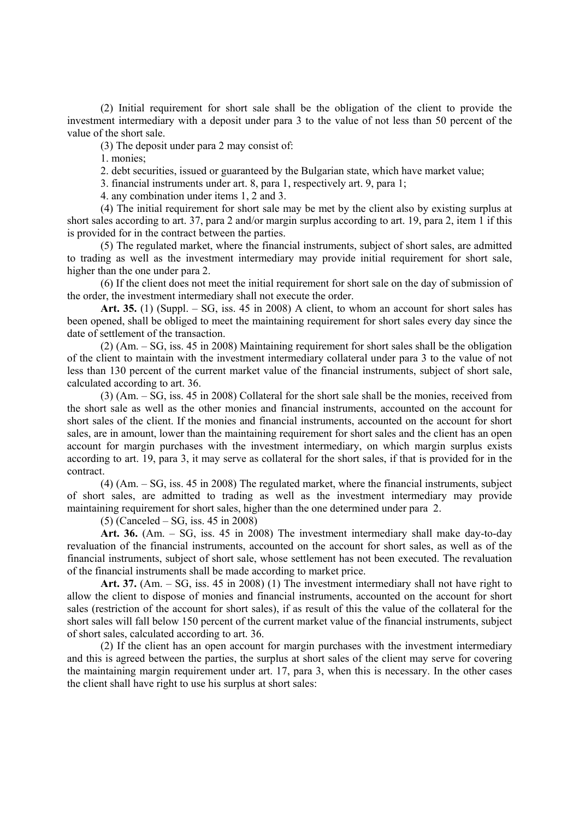(2) Initial requirement for short sale shall be the obligation of the client to provide the investment intermediary with a deposit under para 3 to the value of not less than 50 percent of the value of the short sale.

(3) The deposit under para 2 may consist of:

1. monies;

2. debt securities, issued or guaranteed by the Bulgarian state, which have market value;

3. financial instruments under art. 8, para 1, respectively art. 9, para 1;

4. any combination under items 1, 2 and 3.

(4) The initial requirement for short sale may be met by the client also by existing surplus at short sales according to art. 37, para 2 and/or margin surplus according to art. 19, para 2, item 1 if this is provided for in the contract between the parties.

(5) The regulated market, where the financial instruments, subject of short sales, are admitted to trading as well as the investment intermediary may provide initial requirement for short sale, higher than the one under para 2.

(6) If the client does not meet the initial requirement for short sale on the day of submission of the order, the investment intermediary shall not execute the order.

**Art. 35.** (1) (Suppl. – SG, iss. 45 in 2008) A client, to whom an account for short sales has been opened, shall be obliged to meet the maintaining requirement for short sales every day since the date of settlement of the transaction.

(2) (Am. – SG, iss. 45 in 2008) Maintaining requirement for short sales shall be the obligation of the client to maintain with the investment intermediary collateral under para 3 to the value of not less than 130 percent of the current market value of the financial instruments, subject of short sale, calculated according to art. 36.

(3) (Am. – SG, iss. 45 in 2008) Collateral for the short sale shall be the monies, received from the short sale as well as the other monies and financial instruments, accounted on the account for short sales of the client. If the monies and financial instruments, accounted on the account for short sales, are in amount, lower than the maintaining requirement for short sales and the client has an open account for margin purchases with the investment intermediary, on which margin surplus exists according to art. 19, para 3, it may serve as collateral for the short sales, if that is provided for in the contract.

(4) (Am. – SG, iss. 45 in 2008) The regulated market, where the financial instruments, subject of short sales, are admitted to trading as well as the investment intermediary may provide maintaining requirement for short sales, higher than the one determined under para 2.

(5) (Canceled – SG, iss. 45 in 2008)

**Art. 36.** (Am. – SG, iss. 45 in 2008) The investment intermediary shall make day-to-day revaluation of the financial instruments, accounted on the account for short sales, as well as of the financial instruments, subject of short sale, whose settlement has not been executed. The revaluation of the financial instruments shall be made according to market price.

**Art. 37.** (Am. – SG, iss. 45 in 2008) (1) The investment intermediary shall not have right to allow the client to dispose of monies and financial instruments, accounted on the account for short sales (restriction of the account for short sales), if as result of this the value of the collateral for the short sales will fall below 150 percent of the current market value of the financial instruments, subject of short sales, calculated according to art. 36.

(2) If the client has an open account for margin purchases with the investment intermediary and this is agreed between the parties, the surplus at short sales of the client may serve for covering the maintaining margin requirement under art. 17, para 3, when this is necessary. In the other cases the client shall have right to use his surplus at short sales: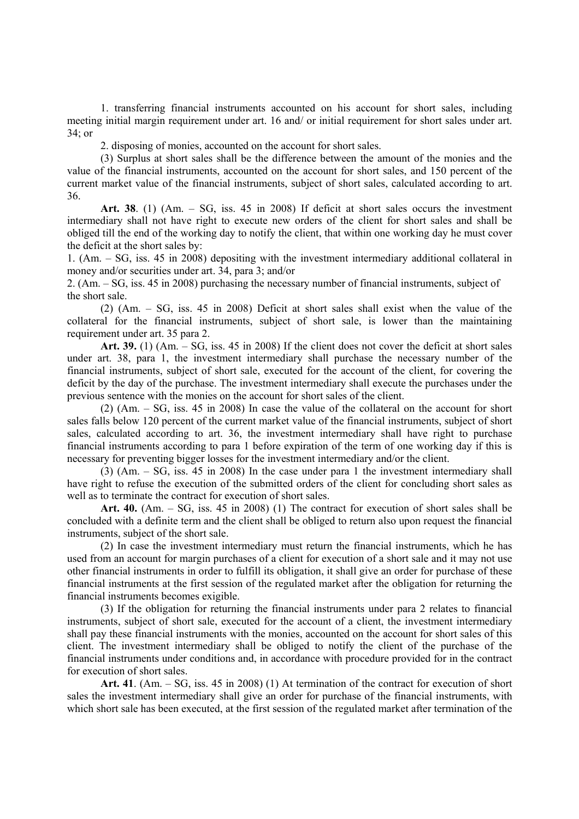1. transferring financial instruments accounted on his account for short sales, including meeting initial margin requirement under art. 16 and/ or initial requirement for short sales under art. 34; or

2. disposing of monies, accounted on the account for short sales.

(3) Surplus at short sales shall be the difference between the amount of the monies and the value of the financial instruments, accounted on the account for short sales, and 150 percent of the current market value of the financial instruments, subject of short sales, calculated according to art. 36.

**Art. 38**. (1) (Am. – SG, iss. 45 in 2008) If deficit at short sales occurs the investment intermediary shall not have right to execute new orders of the client for short sales and shall be obliged till the end of the working day to notify the client, that within one working day he must cover the deficit at the short sales by:

1. (Am. – SG, iss. 45 in 2008) depositing with the investment intermediary additional collateral in money and/or securities under art. 34, para 3; and/or

2. (Am. – SG, iss. 45 in 2008) purchasing the necessary number of financial instruments, subject of the short sale.

(2) (Am. – SG, iss. 45 in 2008) Deficit at short sales shall exist when the value of the collateral for the financial instruments, subject of short sale, is lower than the maintaining requirement under art. 35 para 2.

**Art. 39.** (1) (Am. – SG, iss. 45 in 2008) If the client does not cover the deficit at short sales under art. 38, para 1, the investment intermediary shall purchase the necessary number of the financial instruments, subject of short sale, executed for the account of the client, for covering the deficit by the day of the purchase. The investment intermediary shall execute the purchases under the previous sentence with the monies on the account for short sales of the client.

(2) (Am. – SG, iss. 45 in 2008) In case the value of the collateral on the account for short sales falls below 120 percent of the current market value of the financial instruments, subject of short sales, calculated according to art. 36, the investment intermediary shall have right to purchase financial instruments according to para 1 before expiration of the term of one working day if this is necessary for preventing bigger losses for the investment intermediary and/or the client.

(3) (Am. – SG, iss. 45 in 2008) In the case under para 1 the investment intermediary shall have right to refuse the execution of the submitted orders of the client for concluding short sales as well as to terminate the contract for execution of short sales.

**Art. 40.** (Am. – SG, iss. 45 in 2008) (1) The contract for execution of short sales shall be concluded with a definite term and the client shall be obliged to return also upon request the financial instruments, subject of the short sale.

(2) In case the investment intermediary must return the financial instruments, which he has used from an account for margin purchases of a client for execution of a short sale and it may not use other financial instruments in order to fulfill its obligation, it shall give an order for purchase of these financial instruments at the first session of the regulated market after the obligation for returning the financial instruments becomes exigible.

(3) If the obligation for returning the financial instruments under para 2 relates to financial instruments, subject of short sale, executed for the account of a client, the investment intermediary shall pay these financial instruments with the monies, accounted on the account for short sales of this client. The investment intermediary shall be obliged to notify the client of the purchase of the financial instruments under conditions and, in accordance with procedure provided for in the contract for execution of short sales.

**Art. 41**. (Am. – SG, iss. 45 in 2008) (1) At termination of the contract for execution of short sales the investment intermediary shall give an order for purchase of the financial instruments, with which short sale has been executed, at the first session of the regulated market after termination of the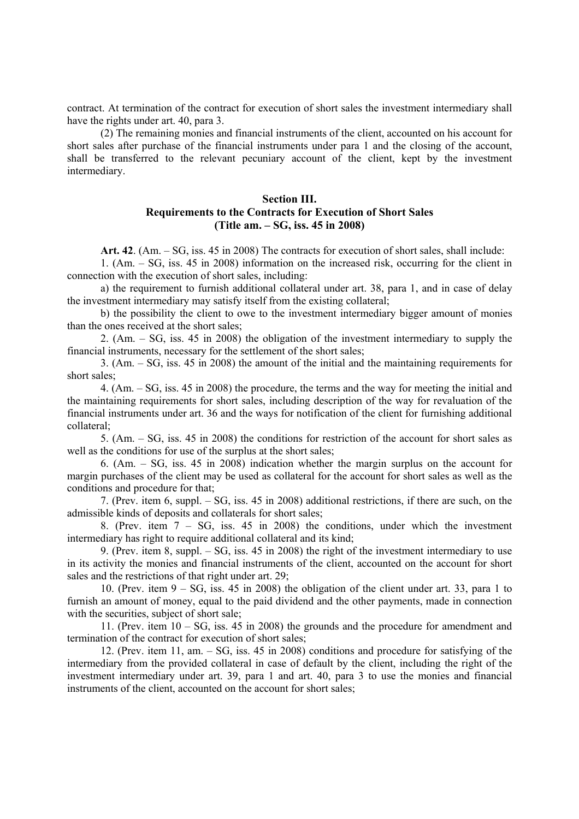contract. At termination of the contract for execution of short sales the investment intermediary shall have the rights under art. 40, para 3.

(2) The remaining monies and financial instruments of the client, accounted on his account for short sales after purchase of the financial instruments under para 1 and the closing of the account, shall be transferred to the relevant pecuniary account of the client, kept by the investment intermediary.

## **Section III. Requirements to the Contracts for Execution of Short Sales (Title am. – SG, iss. 45 in 2008)**

**Art. 42**. (Am. – SG, iss. 45 in 2008) The contracts for execution of short sales, shall include:

1. (Am. – SG, iss. 45 in 2008) information on the increased risk, occurring for the client in connection with the execution of short sales, including:

a) the requirement to furnish additional collateral under art. 38, para 1, and in case of delay the investment intermediary may satisfy itself from the existing collateral;

b) the possibility the client to owe to the investment intermediary bigger amount of monies than the ones received at the short sales;

2. (Am. – SG, iss. 45 in 2008) the obligation of the investment intermediary to supply the financial instruments, necessary for the settlement of the short sales;

3. (Am. – SG, iss. 45 in 2008) the amount of the initial and the maintaining requirements for short sales;

4. (Am. – SG, iss. 45 in 2008) the procedure, the terms and the way for meeting the initial and the maintaining requirements for short sales, including description of the way for revaluation of the financial instruments under art. 36 and the ways for notification of the client for furnishing additional collateral;

5. (Am. – SG, iss. 45 in 2008) the conditions for restriction of the account for short sales as well as the conditions for use of the surplus at the short sales;

6. (Am. – SG, iss. 45 in 2008) indication whether the margin surplus on the account for margin purchases of the client may be used as collateral for the account for short sales as well as the conditions and procedure for that;

7. (Prev. item 6, suppl. – SG, iss. 45 in 2008) additional restrictions, if there are such, on the admissible kinds of deposits and collaterals for short sales;

8. (Prev. item 7 – SG, iss. 45 in 2008) the conditions, under which the investment intermediary has right to require additional collateral and its kind;

9. (Prev. item 8, suppl. – SG, iss. 45 in 2008) the right of the investment intermediary to use in its activity the monies and financial instruments of the client, accounted on the account for short sales and the restrictions of that right under art. 29;

10. (Prev. item  $9 - SG$ , iss. 45 in 2008) the obligation of the client under art. 33, para 1 to furnish an amount of money, equal to the paid dividend and the other payments, made in connection with the securities, subject of short sale;

11. (Prev. item 10 – SG, iss. 45 in 2008) the grounds and the procedure for amendment and termination of the contract for execution of short sales;

12. (Prev. item 11, am. – SG, iss. 45 in 2008) conditions and procedure for satisfying of the intermediary from the provided collateral in case of default by the client, including the right of the investment intermediary under art. 39, para 1 and art. 40, para 3 to use the monies and financial instruments of the client, accounted on the account for short sales;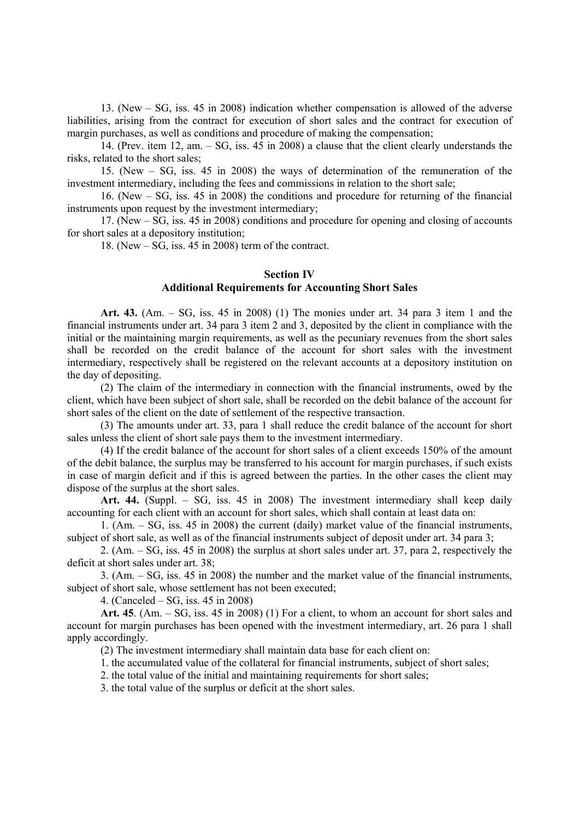13. (New – SG, iss. 45 in 2008) indication whether compensation is allowed of the adverse liabilities, arising from the contract for execution of short sales and the contract for execution of margin purchases, as well as conditions and procedure of making the compensation;

14. (Prev. item 12, am.  $-SG$ , iss.  $45$  in 2008) a clause that the client clearly understands the risks, related to the short sales;

15. (New – SG, iss. 45 in 2008) the ways of determination of the remuneration of the investment intermediary, including the fees and commissions in relation to the short sale;

16. (New – SG, iss. 45 in 2008) the conditions and procedure for returning of the financial instruments upon request by the investment intermediary;

17. (New – SG, iss. 45 in 2008) conditions and procedure for opening and closing of accounts for short sales at a depository institution;

18. (New  $-$  SG, iss. 45 in 2008) term of the contract.

## **Section IV**

### **Additional Requirements for Accounting Short Sales**

**Art. 43.** (Am. – SG, iss. 45 in 2008) (1) The monies under art. 34 para 3 item 1 and the financial instruments under art. 34 para 3 item 2 and 3, deposited by the client in compliance with the initial or the maintaining margin requirements, as well as the pecuniary revenues from the short sales shall be recorded on the credit balance of the account for short sales with the investment intermediary, respectively shall be registered on the relevant accounts at a depository institution on the day of depositing.

(2) The claim of the intermediary in connection with the financial instruments, owed by the client, which have been subject of short sale, shall be recorded on the debit balance of the account for short sales of the client on the date of settlement of the respective transaction.

(3) The amounts under art. 33, para 1 shall reduce the credit balance of the account for short sales unless the client of short sale pays them to the investment intermediary.

(4) If the credit balance of the account for short sales of a client exceeds 150% of the amount of the debit balance, the surplus may be transferred to his account for margin purchases, if such exists in case of margin deficit and if this is agreed between the parties. In the other cases the client may dispose of the surplus at the short sales.

**Art. 44.** (Suppl. – SG, iss. 45 in 2008) The investment intermediary shall keep daily accounting for each client with an account for short sales, which shall contain at least data on:

1. (Am. – SG, iss. 45 in 2008) the current (daily) market value of the financial instruments, subject of short sale, as well as of the financial instruments subject of deposit under art. 34 para 3;

2. (Am. – SG, iss. 45 in 2008) the surplus at short sales under art. 37, para 2, respectively the deficit at short sales under art. 38;

3. (Am. – SG, iss. 45 in 2008) the number and the market value of the financial instruments, subject of short sale, whose settlement has not been executed;

4. (Canceled – SG, iss. 45 in 2008)

**Art. 45**. (Am. – SG, iss. 45 in 2008) (1) For a client, to whom an account for short sales and account for margin purchases has been opened with the investment intermediary, art. 26 para 1 shall apply accordingly.

(2) The investment intermediary shall maintain data base for each client on:

1. the accumulated value of the collateral for financial instruments, subject of short sales;

2. the total value of the initial and maintaining requirements for short sales;

3. the total value of the surplus or deficit at the short sales.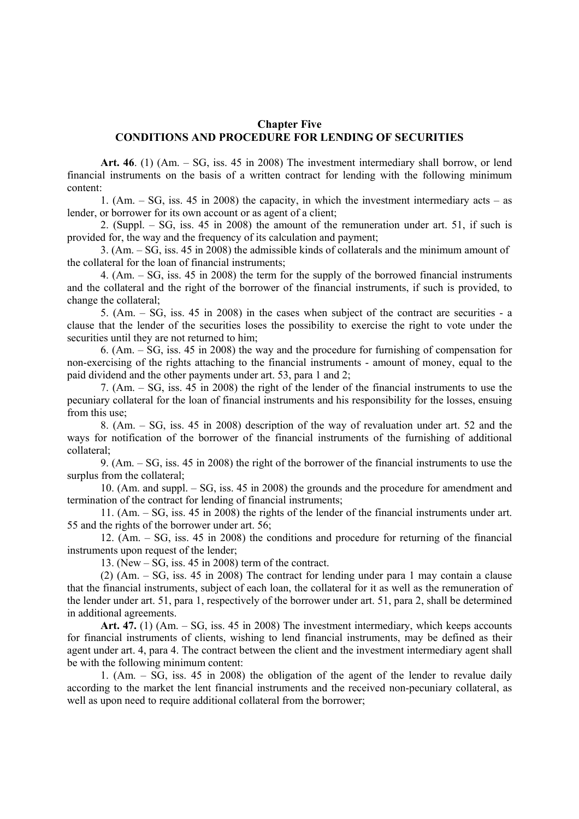### **Chapter Five CONDITIONS AND PROCEDURE FOR LENDING OF SECURITIES**

**Art. 46**. (1) (Am. – SG, iss. 45 in 2008) The investment intermediary shall borrow, or lend financial instruments on the basis of a written contract for lending with the following minimum content:

1. (Am. – SG, iss. 45 in 2008) the capacity, in which the investment intermediary acts – as lender, or borrower for its own account or as agent of a client;

2. (Suppl. – SG, iss. 45 in 2008) the amount of the remuneration under art. 51, if such is provided for, the way and the frequency of its calculation and payment;

3. (Am. – SG, iss. 45 in 2008) the admissible kinds of collaterals and the minimum amount of the collateral for the loan of financial instruments;

4. (Am. – SG, iss. 45 in 2008) the term for the supply of the borrowed financial instruments and the collateral and the right of the borrower of the financial instruments, if such is provided, to change the collateral;

5. (Am. – SG, iss. 45 in 2008) in the cases when subject of the contract are securities - a clause that the lender of the securities loses the possibility to exercise the right to vote under the securities until they are not returned to him;

6. (Am. – SG, iss. 45 in 2008) the way and the procedure for furnishing of compensation for non-exercising of the rights attaching to the financial instruments - amount of money, equal to the paid dividend and the other payments under art. 53, para 1 and 2;

7. (Am. – SG, iss. 45 in 2008) the right of the lender of the financial instruments to use the pecuniary collateral for the loan of financial instruments and his responsibility for the losses, ensuing from this use;

8. (Am. – SG, iss. 45 in 2008) description of the way of revaluation under art. 52 and the ways for notification of the borrower of the financial instruments of the furnishing of additional collateral;

9. (Am. – SG, iss. 45 in 2008) the right of the borrower of the financial instruments to use the surplus from the collateral;

10. (Am. and suppl. – SG, iss. 45 in 2008) the grounds and the procedure for amendment and termination of the contract for lending of financial instruments;

11. (Am. – SG, iss. 45 in 2008) the rights of the lender of the financial instruments under art. 55 and the rights of the borrower under art. 56;

12. (Am. – SG, iss. 45 in 2008) the conditions and procedure for returning of the financial instruments upon request of the lender;

13. (New – SG, iss. 45 in 2008) term of the contract.

(2) (Am. – SG, iss. 45 in 2008) The contract for lending under para 1 may contain a clause that the financial instruments, subject of each loan, the collateral for it as well as the remuneration of the lender under art. 51, para 1, respectively of the borrower under art. 51, para 2, shall be determined in additional agreements.

**Art. 47.** (1) (Am. – SG, iss. 45 in 2008) The investment intermediary, which keeps accounts for financial instruments of clients, wishing to lend financial instruments, may be defined as their agent under art. 4, para 4. The contract between the client and the investment intermediary agent shall be with the following minimum content:

1. (Am.  $-$  SG, iss. 45 in 2008) the obligation of the agent of the lender to revalue daily according to the market the lent financial instruments and the received non-pecuniary collateral, as well as upon need to require additional collateral from the borrower;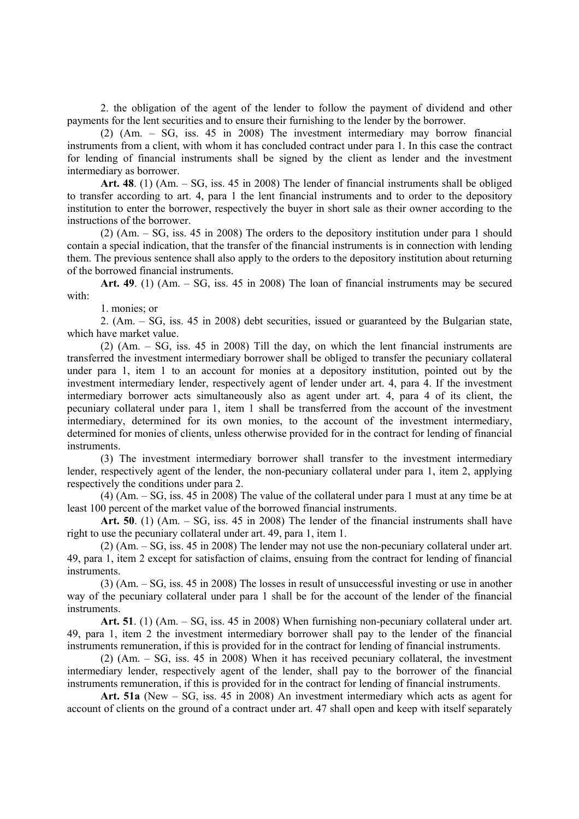2. the obligation of the agent of the lender to follow the payment of dividend and other payments for the lent securities and to ensure their furnishing to the lender by the borrower.

(2) (Am. – SG, iss. 45 in 2008) The investment intermediary may borrow financial instruments from a client, with whom it has concluded contract under para 1. In this case the contract for lending of financial instruments shall be signed by the client as lender and the investment intermediary as borrower.

**Art. 48**. (1) (Am. – SG, iss. 45 in 2008) The lender of financial instruments shall be obliged to transfer according to art. 4, para 1 the lent financial instruments and to order to the depository institution to enter the borrower, respectively the buyer in short sale as their owner according to the instructions of the borrower.

(2) (Am. – SG, iss. 45 in 2008) The orders to the depository institution under para 1 should contain a special indication, that the transfer of the financial instruments is in connection with lending them. The previous sentence shall also apply to the orders to the depository institution about returning of the borrowed financial instruments.

**Art. 49**. (1) (Am. – SG, iss. 45 in 2008) The loan of financial instruments may be secured with:

1. monies; or

2. (Am. – SG, iss. 45 in 2008) debt securities, issued or guaranteed by the Bulgarian state, which have market value.

(2) (Am. – SG, iss. 45 in 2008) Till the day, on which the lent financial instruments are transferred the investment intermediary borrower shall be obliged to transfer the pecuniary collateral under para 1, item 1 to an account for monies at a depository institution, pointed out by the investment intermediary lender, respectively agent of lender under art. 4, para 4. If the investment intermediary borrower acts simultaneously also as agent under art. 4, para 4 of its client, the pecuniary collateral under para 1, item 1 shall be transferred from the account of the investment intermediary, determined for its own monies, to the account of the investment intermediary, determined for monies of clients, unless otherwise provided for in the contract for lending of financial instruments.

(3) The investment intermediary borrower shall transfer to the investment intermediary lender, respectively agent of the lender, the non-pecuniary collateral under para 1, item 2, applying respectively the conditions under para 2.

(4) (Am. – SG, iss. 45 in 2008) The value of the collateral under para 1 must at any time be at least 100 percent of the market value of the borrowed financial instruments.

**Art. 50**. (1) (Am. – SG, iss. 45 in 2008) The lender of the financial instruments shall have right to use the pecuniary collateral under art. 49, para 1, item 1.

(2) (Am. – SG, iss. 45 in 2008) The lender may not use the non-pecuniary collateral under art. 49, para 1, item 2 except for satisfaction of claims, ensuing from the contract for lending of financial instruments.

(3) (Am. – SG, iss. 45 in 2008) The losses in result of unsuccessful investing or use in another way of the pecuniary collateral under para 1 shall be for the account of the lender of the financial instruments.

**Art. 51**. (1) (Am. – SG, iss. 45 in 2008) When furnishing non-pecuniary collateral under art. 49, para 1, item 2 the investment intermediary borrower shall pay to the lender of the financial instruments remuneration, if this is provided for in the contract for lending of financial instruments.

(2) (Am. – SG, iss. 45 in 2008) When it has received pecuniary collateral, the investment intermediary lender, respectively agent of the lender, shall pay to the borrower of the financial instruments remuneration, if this is provided for in the contract for lending of financial instruments.

**Art. 51a** (New – SG, iss. 45 in 2008) An investment intermediary which acts as agent for account of clients on the ground of a contract under art. 47 shall open and keep with itself separately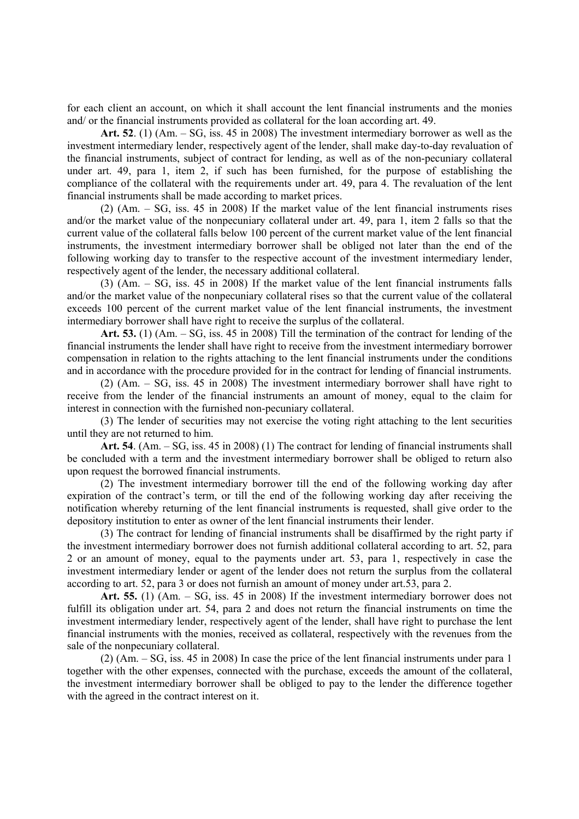for each client an account, on which it shall account the lent financial instruments and the monies and/ or the financial instruments provided as collateral for the loan according art. 49.

**Art. 52**. (1) (Am. – SG, iss. 45 in 2008) The investment intermediary borrower as well as the investment intermediary lender, respectively agent of the lender, shall make day-to-day revaluation of the financial instruments, subject of contract for lending, as well as of the non-pecuniary collateral under art. 49, para 1, item 2, if such has been furnished, for the purpose of establishing the compliance of the collateral with the requirements under art. 49, para 4. The revaluation of the lent financial instruments shall be made according to market prices.

(2) (Am. – SG, iss. 45 in 2008) If the market value of the lent financial instruments rises and/or the market value of the nonpecuniary collateral under art. 49, para 1, item 2 falls so that the current value of the collateral falls below 100 percent of the current market value of the lent financial instruments, the investment intermediary borrower shall be obliged not later than the end of the following working day to transfer to the respective account of the investment intermediary lender, respectively agent of the lender, the necessary additional collateral.

(3) (Am. – SG, iss. 45 in 2008) If the market value of the lent financial instruments falls and/or the market value of the nonpecuniary collateral rises so that the current value of the collateral exceeds 100 percent of the current market value of the lent financial instruments, the investment intermediary borrower shall have right to receive the surplus of the collateral.

**Art. 53.** (1) (Am. – SG, iss. 45 in 2008) Till the termination of the contract for lending of the financial instruments the lender shall have right to receive from the investment intermediary borrower compensation in relation to the rights attaching to the lent financial instruments under the conditions and in accordance with the procedure provided for in the contract for lending of financial instruments.

(2) (Am. – SG, iss. 45 in 2008) The investment intermediary borrower shall have right to receive from the lender of the financial instruments an amount of money, equal to the claim for interest in connection with the furnished non-pecuniary collateral.

(3) The lender of securities may not exercise the voting right attaching to the lent securities until they are not returned to him.

**Art. 54**. (Am. – SG, iss. 45 in 2008) (1) The contract for lending of financial instruments shall be concluded with a term and the investment intermediary borrower shall be obliged to return also upon request the borrowed financial instruments.

(2) The investment intermediary borrower till the end of the following working day after expiration of the contract's term, or till the end of the following working day after receiving the notification whereby returning of the lent financial instruments is requested, shall give order to the depository institution to enter as owner of the lent financial instruments their lender.

(3) The contract for lending of financial instruments shall be disaffirmed by the right party if the investment intermediary borrower does not furnish additional collateral according to art. 52, para 2 or an amount of money, equal to the payments under art. 53, para 1, respectively in case the investment intermediary lender or agent of the lender does not return the surplus from the collateral according to art. 52, para 3 or does not furnish an amount of money under art.53, para 2.

**Art. 55.** (1) (Am. – SG, iss. 45 in 2008) If the investment intermediary borrower does not fulfill its obligation under art. 54, para 2 and does not return the financial instruments on time the investment intermediary lender, respectively agent of the lender, shall have right to purchase the lent financial instruments with the monies, received as collateral, respectively with the revenues from the sale of the nonpecuniary collateral.

(2) (Am. – SG, iss. 45 in 2008) In case the price of the lent financial instruments under para 1 together with the other expenses, connected with the purchase, exceeds the amount of the collateral, the investment intermediary borrower shall be obliged to pay to the lender the difference together with the agreed in the contract interest on it.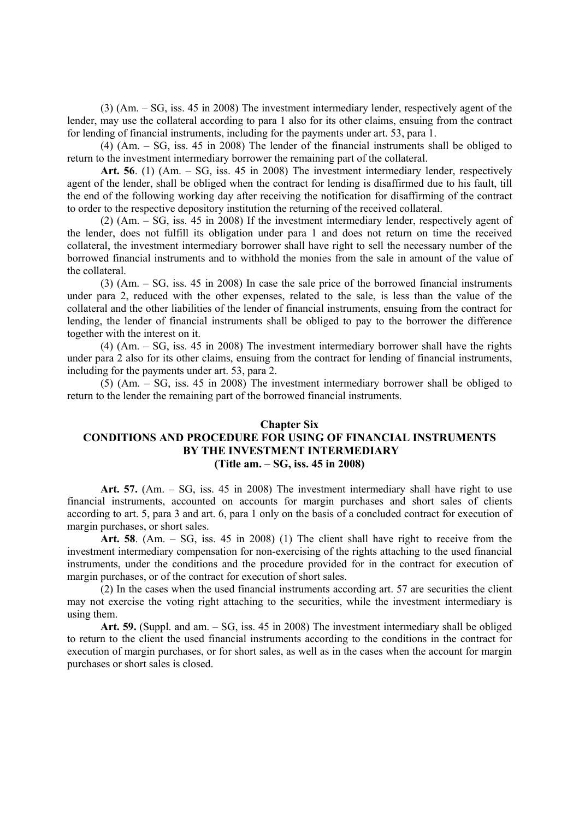(3) (Am. – SG, iss. 45 in 2008) The investment intermediary lender, respectively agent of the lender, may use the collateral according to para 1 also for its other claims, ensuing from the contract for lending of financial instruments, including for the payments under art. 53, para 1.

(4) (Am. – SG, iss. 45 in 2008) The lender of the financial instruments shall be obliged to return to the investment intermediary borrower the remaining part of the collateral.

**Art. 56**. (1) (Am. – SG, iss. 45 in 2008) The investment intermediary lender, respectively agent of the lender, shall be obliged when the contract for lending is disaffirmed due to his fault, till the end of the following working day after receiving the notification for disaffirming of the contract to order to the respective depository institution the returning of the received collateral.

(2) (Am. – SG, iss. 45 in 2008) If the investment intermediary lender, respectively agent of the lender, does not fulfill its obligation under para 1 and does not return on time the received collateral, the investment intermediary borrower shall have right to sell the necessary number of the borrowed financial instruments and to withhold the monies from the sale in amount of the value of the collateral.

(3) (Am. – SG, iss. 45 in 2008) In case the sale price of the borrowed financial instruments under para 2, reduced with the other expenses, related to the sale, is less than the value of the collateral and the other liabilities of the lender of financial instruments, ensuing from the contract for lending, the lender of financial instruments shall be obliged to pay to the borrower the difference together with the interest on it.

(4) (Am. – SG, iss. 45 in 2008) The investment intermediary borrower shall have the rights under para 2 also for its other claims, ensuing from the contract for lending of financial instruments, including for the payments under art. 53, para 2.

(5) (Am. – SG, iss. 45 in 2008) The investment intermediary borrower shall be obliged to return to the lender the remaining part of the borrowed financial instruments.

## **Chapter Six CONDITIONS AND PROCEDURE FOR USING OF FINANCIAL INSTRUMENTS BY THE INVESTMENT INTERMEDIARY (Title am. – SG, iss. 45 in 2008)**

**Art. 57.** (Am. – SG, iss. 45 in 2008) The investment intermediary shall have right to use financial instruments, accounted on accounts for margin purchases and short sales of clients according to art. 5, para 3 and art. 6, para 1 only on the basis of a concluded contract for execution of margin purchases, or short sales.

**Art. 58**. (Am. – SG, iss. 45 in 2008) (1) The client shall have right to receive from the investment intermediary compensation for non-exercising of the rights attaching to the used financial instruments, under the conditions and the procedure provided for in the contract for execution of margin purchases, or of the contract for execution of short sales.

(2) In the cases when the used financial instruments according art. 57 are securities the client may not exercise the voting right attaching to the securities, while the investment intermediary is using them.

**Art. 59.** (Suppl. and am. – SG, iss. 45 in 2008) The investment intermediary shall be obliged to return to the client the used financial instruments according to the conditions in the contract for execution of margin purchases, or for short sales, as well as in the cases when the account for margin purchases or short sales is closed.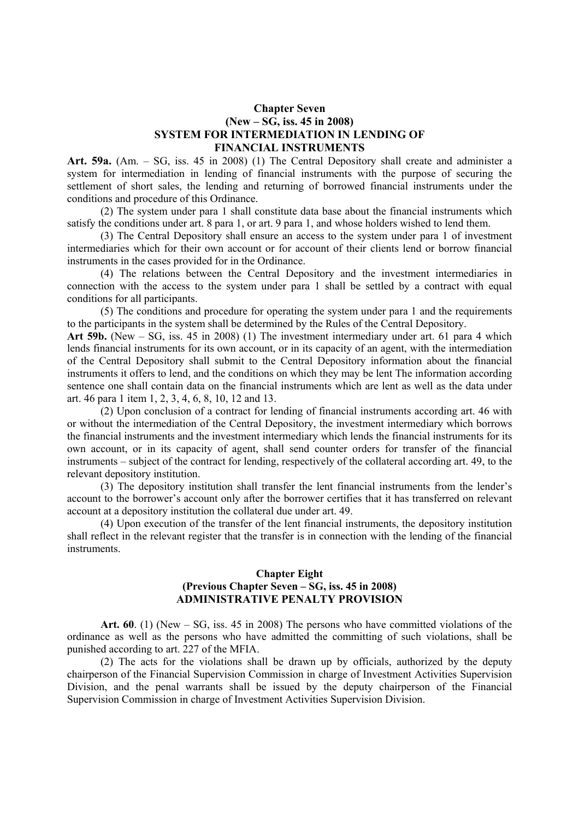## **Chapter Seven (New – SG, iss. 45 in 2008) SYSTEM FOR INTERMEDIATION IN LENDING OF FINANCIAL INSTRUMENTS**

Art. 59a. (Am. – SG, iss. 45 in 2008) (1) The Central Depository shall create and administer a system for intermediation in lending of financial instruments with the purpose of securing the settlement of short sales, the lending and returning of borrowed financial instruments under the conditions and procedure of this Ordinance.

 (2) The system under para 1 shall constitute data base about the financial instruments which satisfy the conditions under art. 8 para 1, or art. 9 para 1, and whose holders wished to lend them.

 (3) The Central Depository shall ensure an access to the system under para 1 of investment intermediaries which for their own account or for account of their clients lend or borrow financial instruments in the cases provided for in the Ordinance.

 (4) The relations between the Central Depository and the investment intermediaries in connection with the access to the system under para 1 shall be settled by a contract with equal conditions for all participants.

 (5) The conditions and procedure for operating the system under para 1 and the requirements to the participants in the system shall be determined by the Rules of the Central Depository.

**Art 59b.** (New – SG, iss. 45 in 2008) (1) The investment intermediary under art. 61 para 4 which lends financial instruments for its own account, or in its capacity of an agent, with the intermediation of the Central Depository shall submit to the Central Depository information about the financial instruments it offers to lend, and the conditions on which they may be lent The information according sentence one shall contain data on the financial instruments which are lent as well as the data under art. 46 para 1 item 1, 2, 3, 4, 6, 8, 10, 12 and 13.

 (2) Upon conclusion of a contract for lending of financial instruments according art. 46 with or without the intermediation of the Central Depository, the investment intermediary which borrows the financial instruments and the investment intermediary which lends the financial instruments for its own account, or in its capacity of agent, shall send counter orders for transfer of the financial instruments – subject of the contract for lending, respectively of the collateral according art. 49, to the relevant depository institution.

 (3) The depository institution shall transfer the lent financial instruments from the lender's account to the borrower's account only after the borrower certifies that it has transferred on relevant account at a depository institution the collateral due under art. 49.

 (4) Upon execution of the transfer of the lent financial instruments, the depository institution shall reflect in the relevant register that the transfer is in connection with the lending of the financial instruments.

### **Chapter Eight (Previous Chapter Seven – SG, iss. 45 in 2008) ADMINISTRATIVE PENALTY PROVISION**

**Art. 60**. (1) (New – SG, iss. 45 in 2008) The persons who have committed violations of the ordinance as well as the persons who have admitted the committing of such violations, shall be punished according to art. 227 of the MFIA.

(2) The acts for the violations shall be drawn up by officials, authorized by the deputy chairperson of the Financial Supervision Commission in charge of Investment Activities Supervision Division, and the penal warrants shall be issued by the deputy chairperson of the Financial Supervision Commission in charge of Investment Activities Supervision Division.